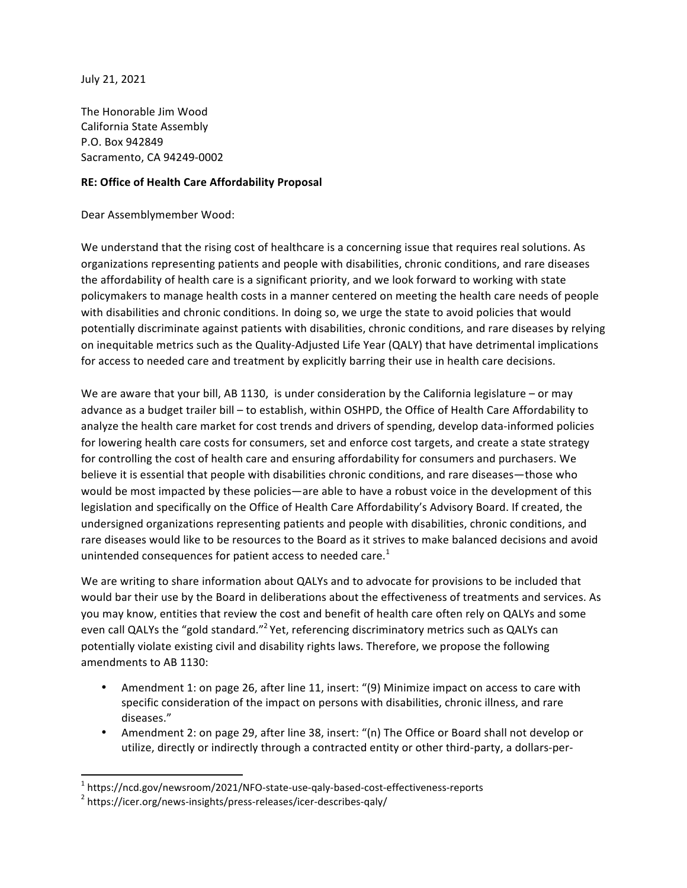July 21, 2021

The Honorable Jim Wood California State Assembly P.O. Box 942849 Sacramento, CA 94249-0002

## **RE: Office of Health Care Affordability Proposal**

Dear Assemblymember Wood:

We understand that the rising cost of healthcare is a concerning issue that requires real solutions. As organizations representing patients and people with disabilities, chronic conditions, and rare diseases the affordability of health care is a significant priority, and we look forward to working with state policymakers to manage health costs in a manner centered on meeting the health care needs of people with disabilities and chronic conditions. In doing so, we urge the state to avoid policies that would potentially discriminate against patients with disabilities, chronic conditions, and rare diseases by relying on inequitable metrics such as the Quality-Adjusted Life Year (QALY) that have detrimental implications for access to needed care and treatment by explicitly barring their use in health care decisions.

We are aware that your bill, AB 1130, is under consideration by the California legislature  $-$  or may advance as a budget trailer bill - to establish, within OSHPD, the Office of Health Care Affordability to analyze the health care market for cost trends and drivers of spending, develop data-informed policies for lowering health care costs for consumers, set and enforce cost targets, and create a state strategy for controlling the cost of health care and ensuring affordability for consumers and purchasers. We believe it is essential that people with disabilities chronic conditions, and rare diseases—those who would be most impacted by these policies—are able to have a robust voice in the development of this legislation and specifically on the Office of Health Care Affordability's Advisory Board. If created, the undersigned organizations representing patients and people with disabilities, chronic conditions, and rare diseases would like to be resources to the Board as it strives to make balanced decisions and avoid unintended consequences for patient access to needed care.<sup>1</sup>

We are writing to share information about QALYs and to advocate for provisions to be included that would bar their use by the Board in deliberations about the effectiveness of treatments and services. As you may know, entities that review the cost and benefit of health care often rely on QALYs and some even call QALYs the "gold standard."<sup>2</sup> Yet, referencing discriminatory metrics such as QALYs can potentially violate existing civil and disability rights laws. Therefore, we propose the following amendments to AB 1130:

- Amendment 1: on page 26, after line 11, insert: "(9) Minimize impact on access to care with specific consideration of the impact on persons with disabilities, chronic illness, and rare diseases."
- Amendment 2: on page 29, after line 38, insert: "(n) The Office or Board shall not develop or utilize, directly or indirectly through a contracted entity or other third-party, a dollars-per-

 

<sup>&</sup>lt;sup>1</sup> https://ncd.gov/newsroom/2021/NFO-state-use-qaly-based-cost-effectiveness-reports <sup>2</sup> https://icer.org/news-insights/press-releases/icer-describes-qaly/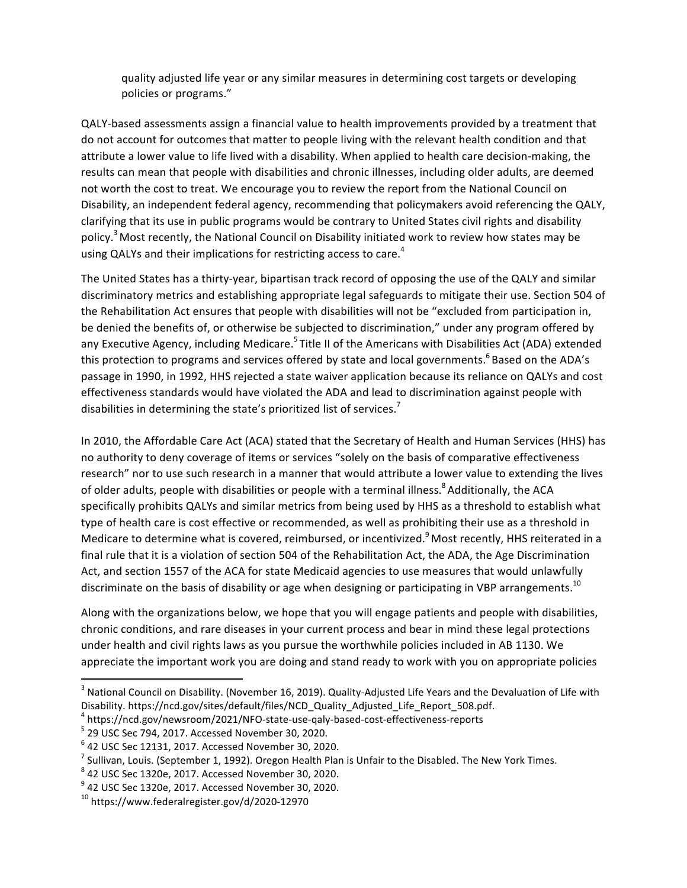quality adjusted life year or any similar measures in determining cost targets or developing policies or programs."

QALY-based assessments assign a financial value to health improvements provided by a treatment that do not account for outcomes that matter to people living with the relevant health condition and that attribute a lower value to life lived with a disability. When applied to health care decision-making, the results can mean that people with disabilities and chronic illnesses, including older adults, are deemed not worth the cost to treat. We encourage you to review the report from the National Council on Disability, an independent federal agency, recommending that policymakers avoid referencing the QALY, clarifying that its use in public programs would be contrary to United States civil rights and disability policy.<sup>3</sup> Most recently, the National Council on Disability initiated work to review how states may be using QALYs and their implications for restricting access to care.<sup>4</sup>

The United States has a thirty-year, bipartisan track record of opposing the use of the QALY and similar discriminatory metrics and establishing appropriate legal safeguards to mitigate their use. Section 504 of the Rehabilitation Act ensures that people with disabilities will not be "excluded from participation in, be denied the benefits of, or otherwise be subjected to discrimination," under any program offered by any Executive Agency, including Medicare.<sup>5</sup> Title II of the Americans with Disabilities Act (ADA) extended this protection to programs and services offered by state and local governments.<sup>6</sup> Based on the ADA's passage in 1990, in 1992, HHS rejected a state waiver application because its reliance on QALYs and cost effectiveness standards would have violated the ADA and lead to discrimination against people with disabilities in determining the state's prioritized list of services.<sup>7</sup>

In 2010, the Affordable Care Act (ACA) stated that the Secretary of Health and Human Services (HHS) has no authority to deny coverage of items or services "solely on the basis of comparative effectiveness research" nor to use such research in a manner that would attribute a lower value to extending the lives of older adults, people with disabilities or people with a terminal illness.<sup>8</sup> Additionally, the ACA specifically prohibits QALYs and similar metrics from being used by HHS as a threshold to establish what type of health care is cost effective or recommended, as well as prohibiting their use as a threshold in Medicare to determine what is covered, reimbursed, or incentivized. Most recently, HHS reiterated in a final rule that it is a violation of section 504 of the Rehabilitation Act, the ADA, the Age Discrimination Act, and section 1557 of the ACA for state Medicaid agencies to use measures that would unlawfully discriminate on the basis of disability or age when designing or participating in VBP arrangements.<sup>10</sup>

Along with the organizations below, we hope that you will engage patients and people with disabilities, chronic conditions, and rare diseases in your current process and bear in mind these legal protections under health and civil rights laws as you pursue the worthwhile policies included in AB 1130. We appreciate the important work you are doing and stand ready to work with you on appropriate policies

 

 $^3$  National Council on Disability. (November 16, 2019). Quality-Adjusted Life Years and the Devaluation of Life with Disability. https://ncd.gov/sites/default/files/NCD\_Quality\_Adjusted\_Life\_Report\_508.pdf.

<sup>4</sup> https://ncd.gov/newsroom/2021/NFO-state-use-qaly-based-cost-effectiveness-reports <sup>5</sup>

 $5$  29 USC Sec 794, 2017. Accessed November 30, 2020.

 $^6$  42 USC Sec 12131, 2017. Accessed November 30, 2020.<br> $^7$  Sullivan, Louis, (Santamber 1, 1993). Orașea Uselin Pla

 $^7$  Sullivan, Louis. (September 1, 1992). Oregon Health Plan is Unfair to the Disabled. The New York Times.

 $8$  42 USC Sec 1320e, 2017. Accessed November 30, 2020.

 $^9$  42 USC Sec 1320e, 2017. Accessed November 30, 2020.

 $10$  https://www.federalregister.gov/d/2020-12970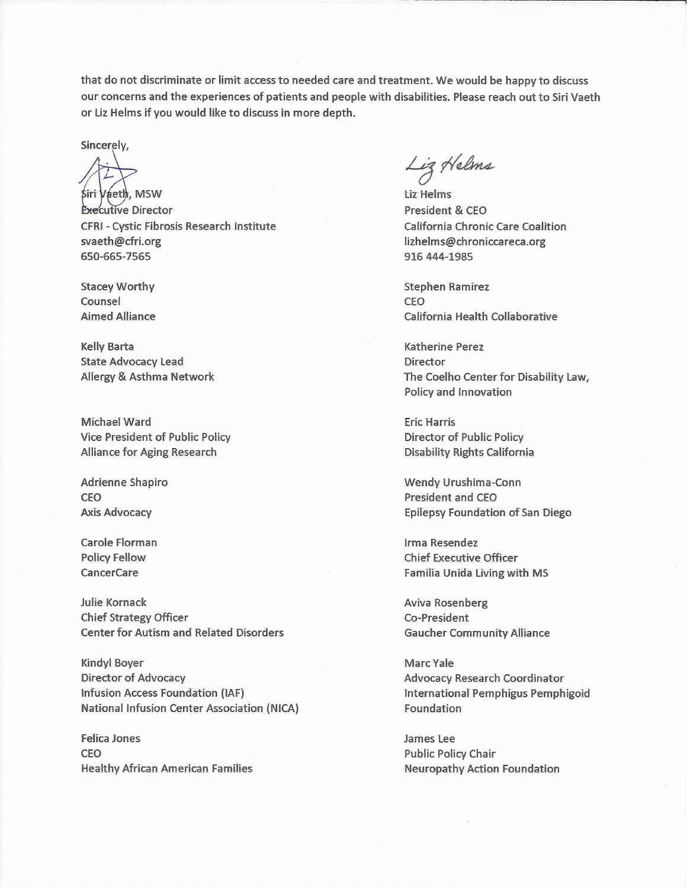that do not discriminate or limit access to needed care and treatment. We would be happy to discuss our concerns and the experiences of patients and people with disabilities. Please reach out to Siri Vaeth or Liz Helms if you would like to discuss in more depth.

Sincerely.

Siri Vaeth, MSW **Executive Director** CFRI - Cystic Fibrosis Research Institute svaeth@cfri.org 650-665-7565

**Stacey Worthy** Counsel **Aimed Alliance** 

**Kelly Barta State Advocacy Lead Allergy & Asthma Network** 

Michael Ward Vice President of Public Policy Alliance for Aging Research

Adrienne Shapiro **CEO Axis Advocacy** 

Carole Florman **Policy Fellow CancerCare** 

Julie Kornack **Chief Strategy Officer Center for Autism and Related Disorders** 

**Kindyl Boyer Director of Advocacy** Infusion Access Foundation (IAF) **National Infusion Center Association (NICA)** 

Felica Jones **CEO Healthy African American Families** 

Liz Helms

tiz Helms President & CEO California Chronic Care Coalition lizhelms@chroniccareca.org 916 444-1985

**Stephen Ramirez** CEO California Health Collaborative

**Katherine Perez** Director The Coelho Center for Disability Law, Policy and Innovation

**Eric Harris Director of Public Policy Disability Rights California** 

Wendy Urushima-Conn **President and CEO Epilepsy Foundation of San Diego** 

Irma Resendez **Chief Executive Officer** Familia Unida Living with MS

Aviva Rosenberg Co-President **Gaucher Community Alliance** 

Marc Yale **Advocacy Research Coordinator** International Pemphigus Pemphigoid Foundation

James Lee **Public Policy Chair Neuropathy Action Foundation**